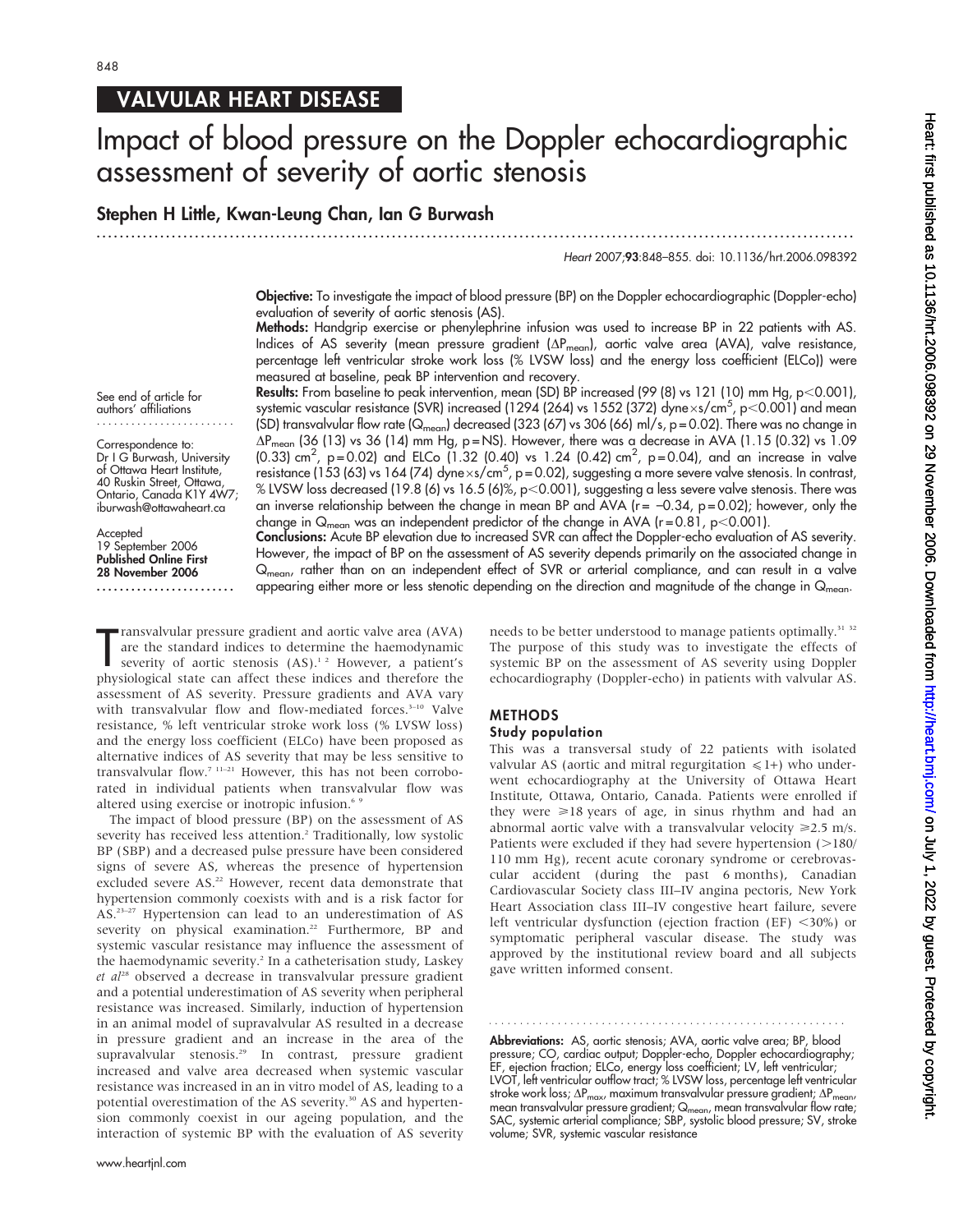## VALVULAR HEART DISEASE

# Impact of blood pressure on the Doppler echocardiographic assessment of severity of aortic stenosis

...................................................................................................................................

Stephen H Little, Kwan-Leung Chan, Ian G Burwash

Heart 2007;93:848–855. doi: 10.1136/hrt.2006.098392

Objective: To investigate the impact of blood pressure (BP) on the Doppler echocardiographic (Doppler-echo) evaluation of severity of aortic stenosis (AS).

Methods: Handgrip exercise or phenylephrine infusion was used to increase BP in 22 patients with AS. Indices of AS severity (mean pressure gradient  $(\Delta P_{\text{mean}})$ , aortic valve area (AVA), valve resistance, percentage left ventricular stroke work loss (% LVSW loss) and the energy loss coefficient (ELCo)) were measured at baseline, peak BP intervention and recovery.

See end of article for authors' affiliations ........................

Correspondence to: Dr I G Burwash, University of Ottawa Heart Institute, 40 Ruskin Street, Ottawa Ontario, Canada K1Y 4W7; iburwash@ottawaheart.ca

Accepted 19 September 2006 Published Online First 28 November 2006 ........................

Results: From baseline to peak intervention, mean (SD) BP increased (99 (8) vs 121 (10) mm Hg, p<0.001), systemic vascular resistance (SVR) increased (1294 (264) vs 1552 (372) dyne $\times$ s/cm $^5$ , p $<$ 0.001) and mean (SD) transvalvular flow rate (Q<sub>mean</sub>) decreased (323 (67) vs 306 (66) ml/s, p = 0.02). There was no change in  $\Delta P_{\text{mean}}$  (36 (13) vs 36 (14) mm Hg, p=NS). However, there was a decrease in AVA (1.15 (0.32) vs 1.09 (0.33) cm<sup>2</sup>, p=0.02) and ELCo (1.32 (0.40) vs 1.24 (0.42) cm<sup>2</sup>, p=0.04), and an increase in valve resistance (153 (63) vs 164 (74) dyne×s/cm<sup>5</sup>, p=0.02), suggesting a more severe valve stenosis. In contrast, % LVSW loss decreased (19.8 (6) vs 16.5 (6)%, p<0.001), suggesting a less severe valve stenosis. There was an inverse relationship between the change in mean BP and AVA ( $r = -0.34$ ,  $p = 0.02$ ); however, only the change in  $Q_{mean}$  was an independent predictor of the change in AVA ( $r = 0.81$ ,  $p < 0.001$ ).

Conclusions: Acute BP elevation due to increased SVR can affect the Doppler-echo evaluation of AS severity. However, the impact of BP on the assessment of AS severity depends primarily on the associated change in  $Q<sub>mean</sub>$ , rather than on an independent effect of SVR or arterial compliance, and can result in a valve appearing either more or less stenotic depending on the direction and magnitude of the change in  $Q_{\text{mean}}$ .

Fransvalvular pressure gradient and aortic valve area (AVA) are the standard indices to determine the haemodynamic severity of aortic stenosis (AS).<sup>12</sup> However, a patient's physiological state can affect these indices and ransvalvular pressure gradient and aortic valve area (AVA) are the standard indices to determine the haemodynamic severity of aortic stenosis  $(AS)^{1/2}$  However, a patient's assessment of AS severity. Pressure gradients and AVA vary with transvalvular flow and flow-mediated forces.<sup>3-10</sup> Valve resistance, % left ventricular stroke work loss (% LVSW loss) and the energy loss coefficient (ELCo) have been proposed as alternative indices of AS severity that may be less sensitive to transvalvular flow.7 11–21 However, this has not been corroborated in individual patients when transvalvular flow was altered using exercise or inotropic infusion.<sup>6</sup>

The impact of blood pressure (BP) on the assessment of AS severity has received less attention.<sup>2</sup> Traditionally, low systolic BP (SBP) and a decreased pulse pressure have been considered signs of severe AS, whereas the presence of hypertension excluded severe AS.<sup>22</sup> However, recent data demonstrate that hypertension commonly coexists with and is a risk factor for AS.<sup>23–27</sup> Hypertension can lead to an underestimation of AS severity on physical examination.<sup>22</sup> Furthermore, BP and systemic vascular resistance may influence the assessment of the haemodynamic severity.<sup>2</sup> In a catheterisation study, Laskey  $et$   $al^{28}$  observed a decrease in transvalvular pressure gradient and a potential underestimation of AS severity when peripheral resistance was increased. Similarly, induction of hypertension in an animal model of supravalvular AS resulted in a decrease in pressure gradient and an increase in the area of the supravalvular stenosis.<sup>29</sup> In contrast, pressure gradient increased and valve area decreased when systemic vascular resistance was increased in an in vitro model of AS, leading to a potential overestimation of the AS severity.<sup>30</sup> AS and hypertension commonly coexist in our ageing population, and the interaction of systemic BP with the evaluation of AS severity

needs to be better understood to manage patients optimally.<sup>31</sup> <sup>32</sup> The purpose of this study was to investigate the effects of systemic BP on the assessment of AS severity using Doppler echocardiography (Doppler-echo) in patients with valvular AS.

# METHODS

Study population

This was a transversal study of 22 patients with isolated valvular AS (aortic and mitral regurgitation  $\leq 1+$ ) who underwent echocardiography at the University of Ottawa Heart Institute, Ottawa, Ontario, Canada. Patients were enrolled if they were  $\geq 18$  years of age, in sinus rhythm and had an abnormal aortic valve with a transvalvular velocity  $\geq 2.5$  m/s. Patients were excluded if they had severe hypertension  $(>180/$ 110 mm Hg), recent acute coronary syndrome or cerebrovascular accident (during the past 6 months), Canadian Cardiovascular Society class III–IV angina pectoris, New York Heart Association class III–IV congestive heart failure, severe left ventricular dysfunction (ejection fraction (EF)  $\langle 30\% \rangle$  or symptomatic peripheral vascular disease. The study was approved by the institutional review board and all subjects gave written informed consent.

Abbreviations: AS, aortic stenosis; AVA, aortic valve area; BP, blood pressure; CO, cardiac output; Doppler-echo, Doppler echocardiography; EF, ejection fraction; ELCo, energy loss coefficient; LV, left ventricular; LVOT, left ventricular outflow tract; % LVSW loss, percentage left ventricular stroke work loss;  $\Delta P_{\text{max}}$ , maximum transvalvular pressure gradient;  $\Delta P_{\text{mean}}$ , mean transvalvular pressure gradient;  $Q_{mean}$ , mean transvalvular flow rate; SAC, systemic arterial compliance; SBP, systolic blood pressure; SV, stroke volume; SVR, systemic vascular resistance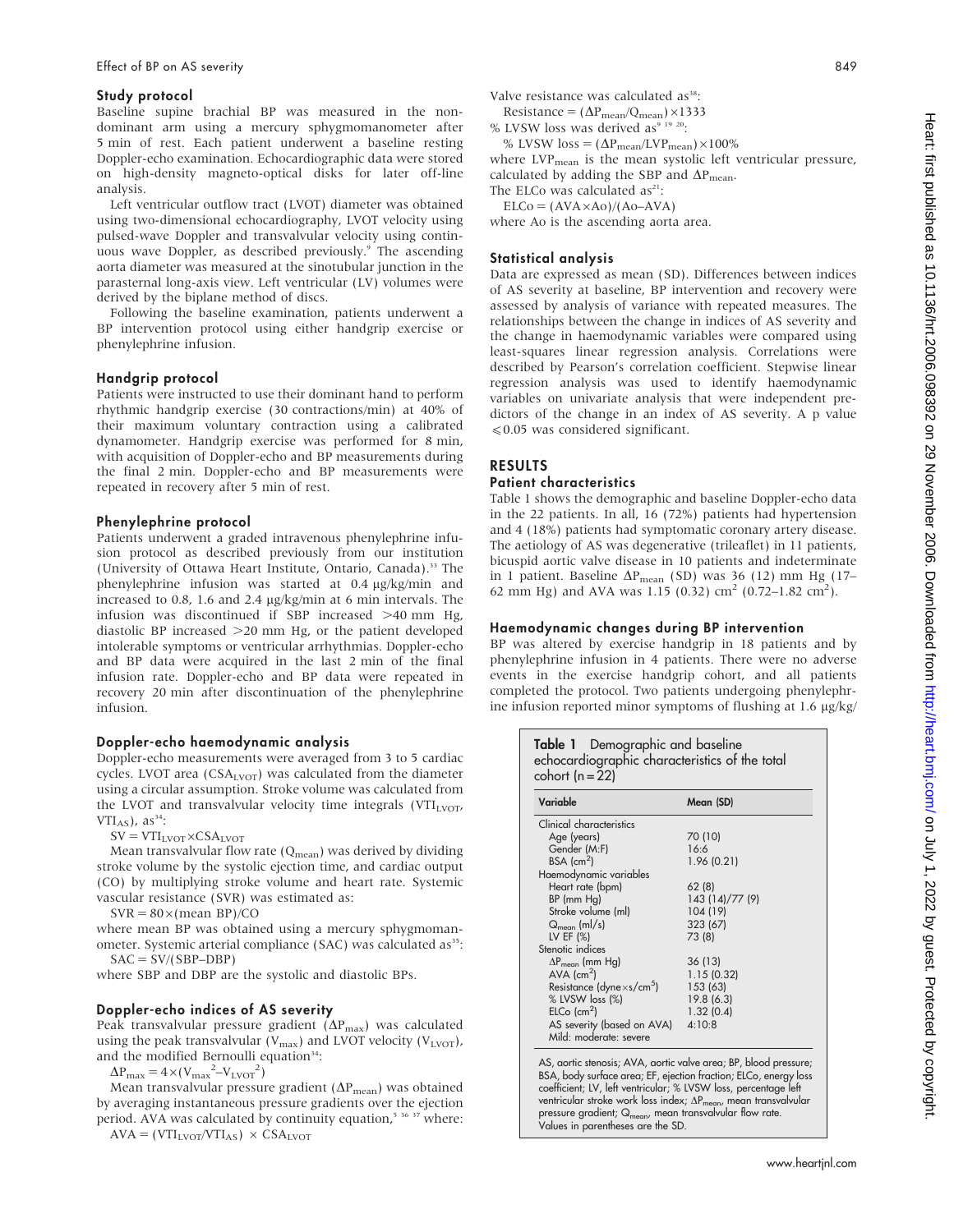#### Study protocol

Baseline supine brachial BP was measured in the nondominant arm using a mercury sphygmomanometer after 5 min of rest. Each patient underwent a baseline resting Doppler-echo examination. Echocardiographic data were stored on high-density magneto-optical disks for later off-line analysis.

Left ventricular outflow tract (LVOT) diameter was obtained using two-dimensional echocardiography, LVOT velocity using pulsed-wave Doppler and transvalvular velocity using continuous wave Doppler, as described previously.9 The ascending aorta diameter was measured at the sinotubular junction in the parasternal long-axis view. Left ventricular (LV) volumes were derived by the biplane method of discs.

Following the baseline examination, patients underwent a BP intervention protocol using either handgrip exercise or phenylephrine infusion.

#### Handgrip protocol

Patients were instructed to use their dominant hand to perform rhythmic handgrip exercise (30 contractions/min) at 40% of their maximum voluntary contraction using a calibrated dynamometer. Handgrip exercise was performed for 8 min, with acquisition of Doppler-echo and BP measurements during the final 2 min. Doppler-echo and BP measurements were repeated in recovery after 5 min of rest.

#### Phenylephrine protocol

Patients underwent a graded intravenous phenylephrine infusion protocol as described previously from our institution (University of Ottawa Heart Institute, Ontario, Canada).<sup>33</sup> The phenylephrine infusion was started at 0.4 µg/kg/min and increased to 0.8, 1.6 and 2.4 µg/kg/min at 6 min intervals. The infusion was discontinued if SBP increased  $>40$  mm Hg, diastolic BP increased  $>20$  mm Hg, or the patient developed intolerable symptoms or ventricular arrhythmias. Doppler-echo and BP data were acquired in the last 2 min of the final infusion rate. Doppler-echo and BP data were repeated in recovery 20 min after discontinuation of the phenylephrine infusion.

#### Doppler-echo haemodynamic analysis

Doppler-echo measurements were averaged from 3 to 5 cardiac cycles. LVOT area (CSA<sub>LVOT</sub>) was calculated from the diameter using a circular assumption. Stroke volume was calculated from the LVOT and transvalvular velocity time integrals ( $VTI<sub>LVOT</sub>$ ,  $VTI_{AS}$ ), as<sup>34</sup>:

 $SV = VTI_{LVOT} \times CSA_{LVOT}$ 

Mean transvalvular flow rate  $(Q_{mean})$  was derived by dividing stroke volume by the systolic ejection time, and cardiac output (CO) by multiplying stroke volume and heart rate. Systemic vascular resistance (SVR) was estimated as:

 $SVR = 80 \times (mean BP)/CO$ 

where mean BP was obtained using a mercury sphygmomanometer. Systemic arterial compliance (SAC) was calculated as<sup>35</sup>:  $SAC = SV/(SBP-DBP)$ 

where SBP and DBP are the systolic and diastolic BPs.

## Doppler-echo indices of AS severity

Peak transvalvular pressure gradient ( $\Delta P_{max}$ ) was calculated using the peak transvalvular ( $V_{\text{max}}$ ) and LVOT velocity ( $V_{\text{LVOT}}$ ), and the modified Bernoulli equation<sup>34</sup>:

 $\Delta P_{\text{max}} = 4 \times (V_{\text{max}}^2 - V_{\text{LVOT}}^2)$ 

Mean transvalvular pressure gradient ( $\Delta P_{\text{mean}}$ ) was obtained by averaging instantaneous pressure gradients over the ejection period. AVA was calculated by continuity equation,<sup>5 36 37</sup> where:

 $AVA = (VTI<sub>LVOT</sub>/VTI<sub>AS</sub>) \times CSA<sub>LVOT</sub>$ 

Valve resistance was calculated as<sup>38</sup>:

Resistance =  $(\Delta P_{mean}/Q_{mean}) \times 1333$ 

% LVSW loss was derived as<sup>9 19 20</sup>:

% LVSW  $loss = (\Delta P_{mean}/LVP_{mean}) \times 100\%$ 

where  $LVP_{mean}$  is the mean systolic left ventricular pressure, calculated by adding the SBP and  $\Delta P_{\text{mean}}$ .

The ELCo was calculated  $as^{21}$ :

 $E<sub>LO</sub> = (AVA \times Ao)/(AO-AVA)$ 

where Ao is the ascending aorta area.

## Statistical analysis

Data are expressed as mean (SD). Differences between indices of AS severity at baseline, BP intervention and recovery were assessed by analysis of variance with repeated measures. The relationships between the change in indices of AS severity and the change in haemodynamic variables were compared using least-squares linear regression analysis. Correlations were described by Pearson's correlation coefficient. Stepwise linear regression analysis was used to identify haemodynamic variables on univariate analysis that were independent predictors of the change in an index of AS severity. A p value  $\leq 0.05$  was considered significant.

## RESULTS

## Patient characteristics

Table 1 shows the demographic and baseline Doppler-echo data in the 22 patients. In all, 16 (72%) patients had hypertension and 4 (18%) patients had symptomatic coronary artery disease. The aetiology of AS was degenerative (trileaflet) in 11 patients, bicuspid aortic valve disease in 10 patients and indeterminate in 1 patient. Baseline  $\Delta P_{mean}$  (SD) was 36 (12) mm Hg (17– 62 mm Hg) and AVA was 1.15 (0.32) cm<sup>2</sup> (0.72–1.82 cm<sup>2</sup>).

#### Haemodynamic changes during BP intervention

BP was altered by exercise handgrip in 18 patients and by phenylephrine infusion in 4 patients. There were no adverse events in the exercise handgrip cohort, and all patients completed the protocol. Two patients undergoing phenylephrine infusion reported minor symptoms of flushing at 1.6  $\mu$ g/kg/

| Variable                                      | Mean (SD)     |
|-----------------------------------------------|---------------|
| Clinical characteristics                      |               |
| Age (years)                                   | 70 (10)       |
| Gender (M:F)                                  | 16:6          |
| $BSA$ (cm <sup>2</sup> )                      | 1.96(0.21)    |
| Haemodynamic variables                        |               |
| Heart rate (bpm)                              | 62(8)         |
| BP (mm Hg)                                    | 143(14)/77(9) |
| Stroke volume (ml)                            | 104 (19)      |
| $Q_{\text{mean}}$ (ml/s)                      | 323 (67)      |
| LV EF (%)                                     | 73 (8)        |
| Stenotic indices                              |               |
| $\Delta P_{mean}$ (mm Hg)                     | 36(13)        |
| $AVA$ (cm <sup>2</sup> )                      | 1.15(0.32)    |
| Resistance (dyne $\times$ s/cm <sup>3</sup> ) | 153 (63)      |
| % LVSW loss (%)                               | 19.8(6.3)     |
| $ECO$ (cm <sup>2</sup> )                      | 1.32(0.4)     |
| AS severity (based on AVA)                    | 4:10:8        |
| Mild: moderate: severe                        |               |

body surtace area; EF, ejection traction; ELCo, energy loss coefficient; LV, left ventricular; % LVSW loss, percentage le ventricular stroke work loss index;  $\Delta P_{mean}$ , mean transvalvular pressure gradient; Q<sub>mean</sub>, mean transvalvular flow rate.<br>Values in parentheses are the SD.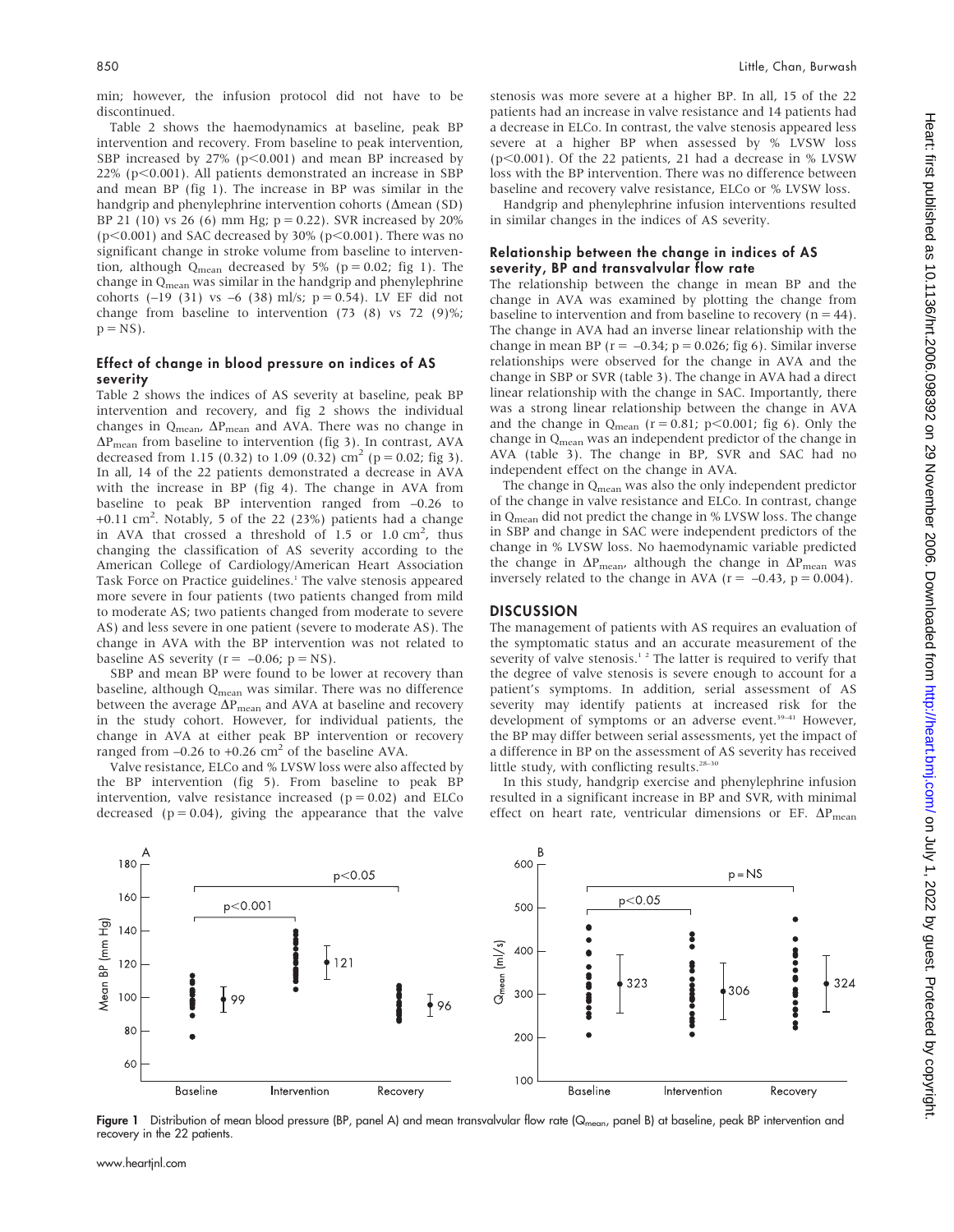min; however, the infusion protocol did not have to be discontinued.

Table 2 shows the haemodynamics at baseline, peak BP intervention and recovery. From baseline to peak intervention, SBP increased by  $27\%$  (p<0.001) and mean BP increased by  $22\%$  (p $<$ 0.001). All patients demonstrated an increase in SBP and mean BP (fig 1). The increase in BP was similar in the handgrip and phenylephrine intervention cohorts ( $\Delta$ mean (SD) BP 21 (10) vs 26 (6) mm Hg;  $p = 0.22$ ). SVR increased by 20% ( $p$ <0.001) and SAC decreased by 30% ( $p$ <0.001). There was no significant change in stroke volume from baseline to intervention, although  $Q_{mean}$  decreased by 5% (p = 0.02; fig 1). The change in  $Q_{mean}$  was similar in the handgrip and phenylephrine cohorts  $(-19 \t(31) \text{ vs } -6 \t(38) \text{ mJ/s}; p = 0.54)$ . LV EF did not change from baseline to intervention (73 (8) vs 72 (9)%;  $p = NS$ ).

### Effect of change in blood pressure on indices of AS severity

Table 2 shows the indices of AS severity at baseline, peak BP intervention and recovery, and fig 2 shows the individual changes in  $Q_{mean}$ ,  $\Delta P_{mean}$  and AVA. There was no change in  $\Delta P_{\text{mean}}$  from baseline to intervention (fig 3). In contrast, AVA decreased from 1.15 (0.32) to 1.09 (0.32) cm<sup>2</sup> (p = 0.02; fig 3). In all, 14 of the 22 patients demonstrated a decrease in AVA with the increase in BP (fig 4). The change in AVA from baseline to peak BP intervention ranged from –0.26 to +0.11 cm<sup>2</sup>. Notably, 5 of the 22 (23%) patients had a change in AVA that crossed a threshold of 1.5 or 1.0 cm<sup>2</sup>, thus changing the classification of AS severity according to the American College of Cardiology/American Heart Association Task Force on Practice guidelines.<sup>1</sup> The valve stenosis appeared more severe in four patients (two patients changed from mild to moderate AS; two patients changed from moderate to severe AS) and less severe in one patient (severe to moderate AS). The change in AVA with the BP intervention was not related to baseline AS severity ( $r = -0.06$ ;  $p = NS$ ).

SBP and mean BP were found to be lower at recovery than baseline, although  $Q_{mean}$  was similar. There was no difference between the average  $\Delta P_{mean}$  and AVA at baseline and recovery in the study cohort. However, for individual patients, the change in AVA at either peak BP intervention or recovery ranged from  $-0.26$  to  $+0.26$  cm<sup>2</sup> of the baseline AVA.

Valve resistance, ELCo and % LVSW loss were also affected by the BP intervention (fig 5). From baseline to peak BP intervention, valve resistance increased ( $p = 0.02$ ) and ELCo decreased ( $p = 0.04$ ), giving the appearance that the valve stenosis was more severe at a higher BP. In all, 15 of the 22 patients had an increase in valve resistance and 14 patients had a decrease in ELCo. In contrast, the valve stenosis appeared less severe at a higher BP when assessed by % LVSW loss ( $p$ <0.001). Of the 22 patients, 21 had a decrease in % LVSW loss with the BP intervention. There was no difference between baseline and recovery valve resistance, ELCo or % LVSW loss.

Handgrip and phenylephrine infusion interventions resulted in similar changes in the indices of AS severity.

#### Relationship between the change in indices of AS severity, BP and transvalvular flow rate

The relationship between the change in mean BP and the change in AVA was examined by plotting the change from baseline to intervention and from baseline to recovery  $(n = 44)$ . The change in AVA had an inverse linear relationship with the change in mean BP ( $r = -0.34$ ;  $p = 0.026$ ; fig 6). Similar inverse relationships were observed for the change in AVA and the change in SBP or SVR (table 3). The change in AVA had a direct linear relationship with the change in SAC. Importantly, there was a strong linear relationship between the change in AVA and the change in  $Q_{mean}$  (r = 0.81; p<0.001; fig 6). Only the change in Q<sub>mean</sub> was an independent predictor of the change in AVA (table 3). The change in BP, SVR and SAC had no independent effect on the change in AVA.

The change in Qmean was also the only independent predictor of the change in valve resistance and ELCo. In contrast, change in Qmean did not predict the change in % LVSW loss. The change in SBP and change in SAC were independent predictors of the change in % LVSW loss. No haemodynamic variable predicted the change in  $\Delta P_{\text{mean}}$ , although the change in  $\Delta P_{\text{mean}}$  was inversely related to the change in AVA ( $r = -0.43$ ,  $p = 0.004$ ).

## DISCUSSION

The management of patients with AS requires an evaluation of the symptomatic status and an accurate measurement of the severity of valve stenosis.<sup>12</sup> The latter is required to verify that the degree of valve stenosis is severe enough to account for a patient's symptoms. In addition, serial assessment of AS severity may identify patients at increased risk for the development of symptoms or an adverse event.<sup>39-41</sup> However, the BP may differ between serial assessments, yet the impact of a difference in BP on the assessment of AS severity has received little study, with conflicting results.<sup>28–30</sup>

In this study, handgrip exercise and phenylephrine infusion resulted in a significant increase in BP and SVR, with minimal effect on heart rate, ventricular dimensions or EF.  $\Delta P_{\text{mean}}$ 



Figure 1 Distribution of mean blood pressure (BP, panel A) and mean transvalvular flow rate ( $Q_{mean}$ , panel B) at baseline, peak BP intervention and recovery in the 22 patients.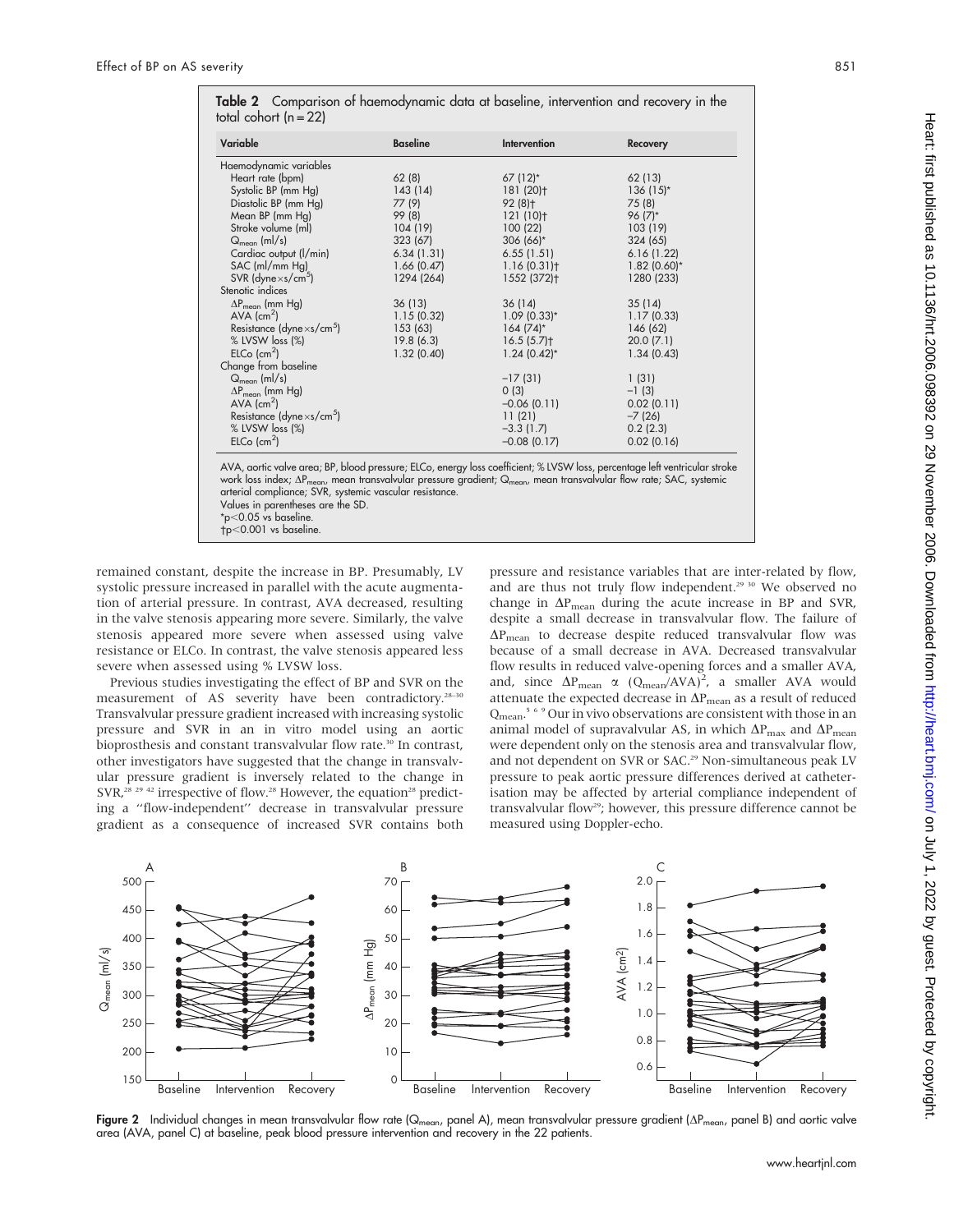| Variable                                      | <b>Baseline</b> | Intervention            | Recovery       |
|-----------------------------------------------|-----------------|-------------------------|----------------|
| Haemodynamic variables                        |                 |                         |                |
| Heart rate (bpm)                              | 62(8)           | $67(12)$ *              | 62 (13)        |
| Systolic BP (mm Hg)                           | 143(14)         | $181(20)$ <sup>+</sup>  | $136(15)^{*}$  |
| Diastolic BP (mm Hg)                          | 77 (9)          | $92(8)$ <sup>+</sup>    | 75 (8)         |
| Mean BP (mm Hg)                               | 99(8)           | $121(10)$ <sup>+</sup>  | $96 (7)^*$     |
| Stroke volume (ml)                            | 104(19)         | 100(22)                 | 103 (19)       |
| $Q_{\text{mean}}$ (ml/s)                      | 323 (67)        | $306(66)^*$             | 324(65)        |
| Cardiac output (I/min)                        | 6.34(1.31)      | 6.55(1.51)              | 6.16(1.22)     |
| SAC (ml/mm Hg)                                | 1.66(0.47)      | 1.16(0.31)              | $1.82$ (0.60)* |
| SVR (dyne $\times s/cm^3$ )                   | 1294 (264)      | 1552 (372) <sup>+</sup> | 1280 (233)     |
| Stenotic indices                              |                 |                         |                |
| $\Delta P_{mean}$ (mm Hg)                     | 36(13)          | 36(14)                  | 35(14)         |
| $AVA$ (cm <sup>2</sup> )                      | 1.15(0.32)      | $1.09$ (0.33)*          | 1.17(0.33)     |
| Resistance (dyne $\times$ s/cm <sup>5</sup> ) | 153 (63)        | $164 (74)^*$            | 146 (62)       |
| % LVSW loss (%)                               | 19.8(6.3)       | 16.5(5.7)               | 20.0(7.1)      |
| $ECO$ (cm <sup>2</sup> )                      | 1.32(0.40)      | $1.24(0.42)$ *          | 1.34(0.43)     |
| Change from baseline                          |                 |                         |                |
| $Q_{\text{mean}}$ (ml/s)                      |                 | $-17(31)$               | 1(31)          |
| $\Delta P_{mean}$ (mm Hg)                     |                 | 0(3)                    | $-1(3)$        |
| $AVA$ (cm <sup>2</sup> )                      |                 | $-0.06(0.11)$           | 0.02(0.11)     |
| Resistance (dyne $\times$ s/cm <sup>3</sup> ) |                 | 11(21)                  | $-7(26)$       |
| % LVSW loss (%)                               |                 | $-3.3(1.7)$             | 0.2(2.3)       |
| $ECO$ (cm <sup>2</sup> )                      |                 | $-0.08$ (0.17)          | 0.02(0.16)     |

Table 2 Comparison of haemodynamic data at baseline, intervention and recovery in the

AVA, aortic valve area; BP, blood pressure; ELCo, energy loss coetticient; % LVSW loss, percentage lett ventricular stroke<br>work loss index; ∆P<sub>mean</sub>, mean transvalvular pressure gradient; Q<sub>mean</sub>, mean transvalvular flow r arterial compliance; SVR, systemic vascular resistance.

Values in parentheses are the SD.  $p$ <0.05 vs baseline

 $+p<0.001$  vs baseline.

remained constant, despite the increase in BP. Presumably, LV systolic pressure increased in parallel with the acute augmentation of arterial pressure. In contrast, AVA decreased, resulting in the valve stenosis appearing more severe. Similarly, the valve stenosis appeared more severe when assessed using valve resistance or ELCo. In contrast, the valve stenosis appeared less severe when assessed using % LVSW loss.

Previous studies investigating the effect of BP and SVR on the measurement of AS severity have been contradictory.<sup>28–30</sup> Transvalvular pressure gradient increased with increasing systolic pressure and SVR in an in vitro model using an aortic bioprosthesis and constant transvalvular flow rate.<sup>30</sup> In contrast, other investigators have suggested that the change in transvalvular pressure gradient is inversely related to the change in  $SVR<sub>1</sub><sup>28</sup>$ <sup>29</sup> 42 irrespective of flow.<sup>28</sup> However, the equation<sup>28</sup> predicting a ''flow-independent'' decrease in transvalvular pressure gradient as a consequence of increased SVR contains both pressure and resistance variables that are inter-related by flow, and are thus not truly flow independent.<sup>29 30</sup> We observed no change in  $\Delta P_{mean}$  during the acute increase in BP and SVR, despite a small decrease in transvalvular flow. The failure of  $\Delta P_{\text{mean}}$  to decrease despite reduced transvalvular flow was because of a small decrease in AVA. Decreased transvalvular flow results in reduced valve-opening forces and a smaller AVA, and, since  $\Delta P_{\text{mean}} \propto (Q_{\text{mean}}/AVA)^2$ , a smaller AVA would attenuate the expected decrease in  $\Delta \rm{P_{mean}}$  as a result of reduced Q<sub>mean</sub>.<sup>569</sup> Our in vivo observations are consistent with those in an animal model of supravalvular AS, in which  $\Delta P_{max}$  and  $\Delta P_{mean}$ were dependent only on the stenosis area and transvalvular flow, and not dependent on SVR or SAC.<sup>29</sup> Non-simultaneous peak LV pressure to peak aortic pressure differences derived at catheterisation may be affected by arterial compliance independent of transvalvular flow<sup>29</sup>; however, this pressure difference cannot be measured using Doppler-echo.



Figure 2 Individual changes in mean transvalvular flow rate (Q<sub>mean</sub>, panel A), mean transvalvular pressure gradient ( $\Delta P_{mean}$ , panel B) and aortic valve area (AVA, panel C) at baseline, peak blood pressure intervention and recovery in the 22 patients.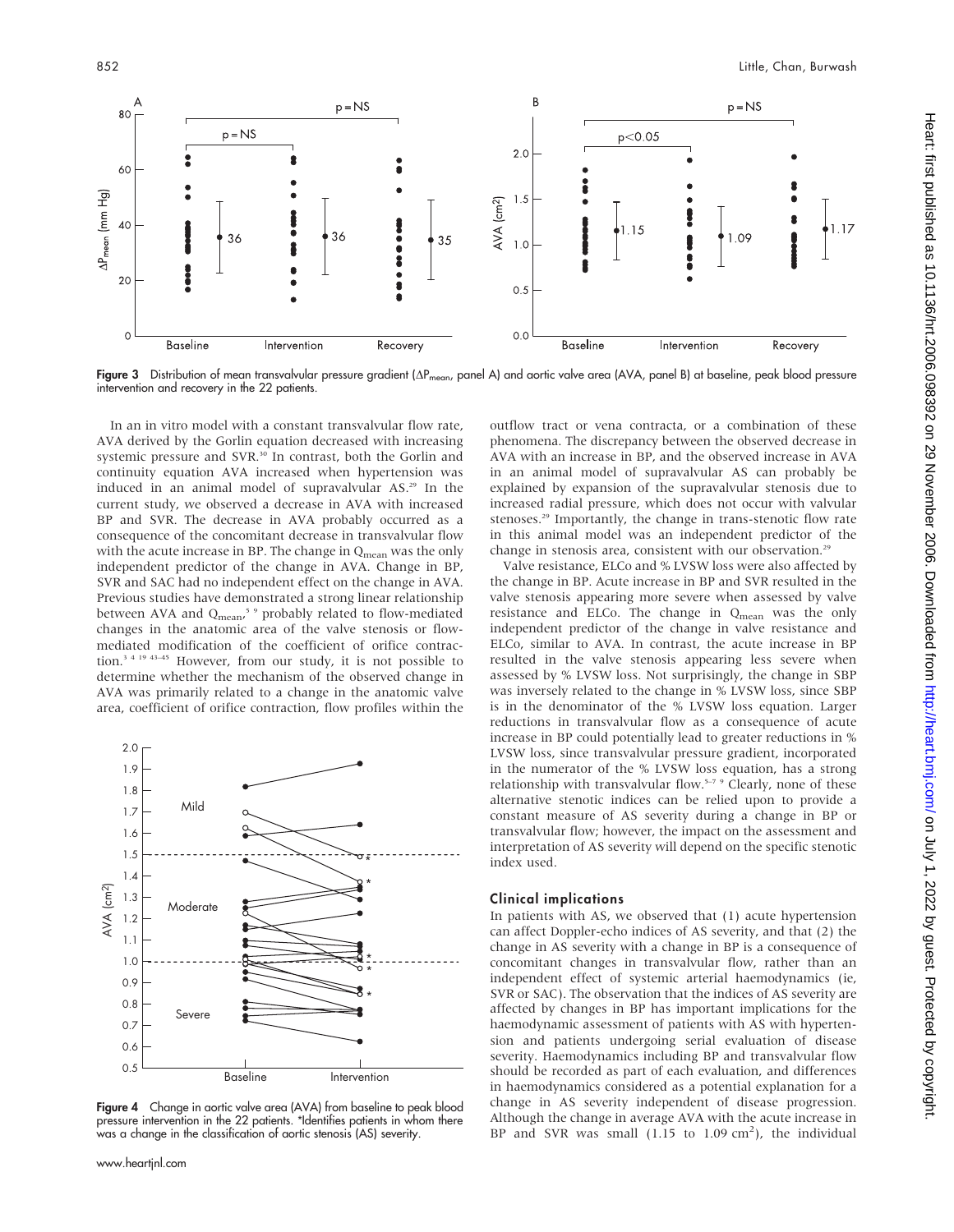

Figure 3 Distribution of mean transvalvular pressure gradient (AP<sub>mean</sub>, panel A) and aortic valve area (AVA, panel B) at baseline, peak blood pressure intervention and recovery in the 22 patients.

In an in vitro model with a constant transvalvular flow rate, AVA derived by the Gorlin equation decreased with increasing systemic pressure and SVR.<sup>30</sup> In contrast, both the Gorlin and continuity equation AVA increased when hypertension was induced in an animal model of supravalvular AS.29 In the current study, we observed a decrease in AVA with increased BP and SVR. The decrease in AVA probably occurred as a consequence of the concomitant decrease in transvalvular flow with the acute increase in BP. The change in  $Q_{\text{mean}}$  was the only independent predictor of the change in AVA. Change in BP, SVR and SAC had no independent effect on the change in AVA. Previous studies have demonstrated a strong linear relationship between AVA and Q<sub>mean</sub>,<sup>5,9</sup> probably related to flow-mediated changes in the anatomic area of the valve stenosis or flowmediated modification of the coefficient of orifice contraction.3 4 19 43–45 However, from our study, it is not possible to determine whether the mechanism of the observed change in AVA was primarily related to a change in the anatomic valve area, coefficient of orifice contraction, flow profiles within the



Figure 4 Change in aortic valve area (AVA) from baseline to peak blood pressure intervention in the 22 patients. \*Identifies patients in whom there was a change in the classification of aortic stenosis (AS) severity.

outflow tract or vena contracta, or a combination of these phenomena. The discrepancy between the observed decrease in AVA with an increase in BP, and the observed increase in AVA in an animal model of supravalvular AS can probably be explained by expansion of the supravalvular stenosis due to increased radial pressure, which does not occur with valvular stenoses.<sup>29</sup> Importantly, the change in trans-stenotic flow rate in this animal model was an independent predictor of the change in stenosis area, consistent with our observation.<sup>29</sup>

Valve resistance, ELCo and % LVSW loss were also affected by the change in BP. Acute increase in BP and SVR resulted in the valve stenosis appearing more severe when assessed by valve resistance and ELCo. The change in Q<sub>mean</sub> was the only independent predictor of the change in valve resistance and ELCo, similar to AVA. In contrast, the acute increase in BP resulted in the valve stenosis appearing less severe when assessed by % LVSW loss. Not surprisingly, the change in SBP was inversely related to the change in % LVSW loss, since SBP is in the denominator of the % LVSW loss equation. Larger reductions in transvalvular flow as a consequence of acute increase in BP could potentially lead to greater reductions in % LVSW loss, since transvalvular pressure gradient, incorporated in the numerator of the % LVSW loss equation, has a strong relationship with transvalvular flow.<sup>5-7</sup> 9 Clearly, none of these alternative stenotic indices can be relied upon to provide a constant measure of AS severity during a change in BP or transvalvular flow; however, the impact on the assessment and interpretation of AS severity will depend on the specific stenotic index used.

## Clinical implications

In patients with AS, we observed that (1) acute hypertension can affect Doppler-echo indices of AS severity, and that (2) the change in AS severity with a change in BP is a consequence of concomitant changes in transvalvular flow, rather than an independent effect of systemic arterial haemodynamics (ie, SVR or SAC). The observation that the indices of AS severity are affected by changes in BP has important implications for the haemodynamic assessment of patients with AS with hypertension and patients undergoing serial evaluation of disease severity. Haemodynamics including BP and transvalvular flow should be recorded as part of each evaluation, and differences in haemodynamics considered as a potential explanation for a change in AS severity independent of disease progression. Although the change in average AVA with the acute increase in BP and SVR was small  $(1.15 \text{ to } 1.09 \text{ cm}^2)$ , the individual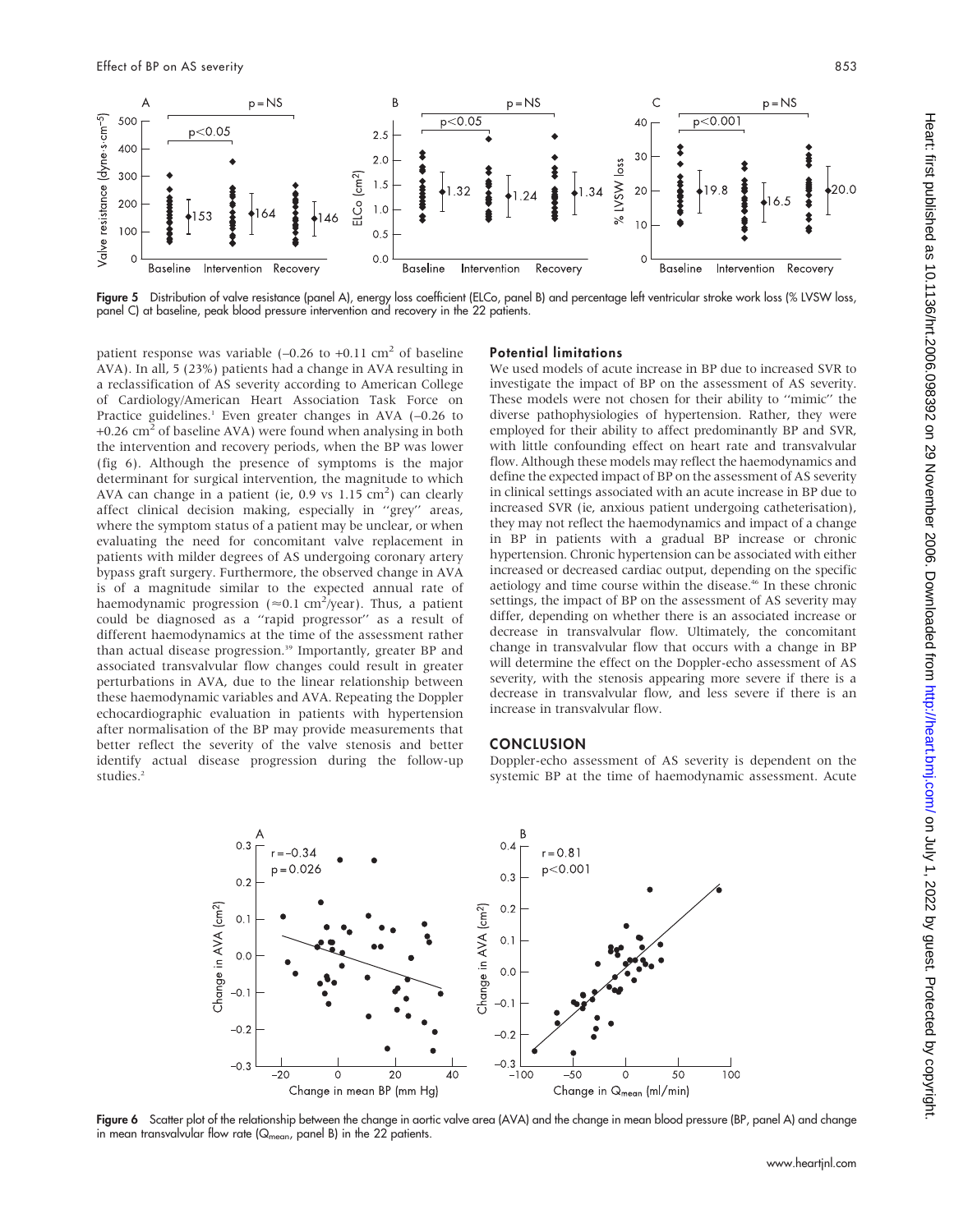

Figure 5 Distribution of valve resistance (panel A), energy loss coefficient (ELCo, panel B) and percentage left ventricular stroke work loss (% LVSW loss, panel C) at baseline, peak blood pressure intervention and recovery in the 22 patients.

patient response was variable  $(-0.26 \text{ to } +0.11 \text{ cm}^2)$  of baseline AVA). In all, 5 (23%) patients had a change in AVA resulting in a reclassification of AS severity according to American College of Cardiology/American Heart Association Task Force on Practice guidelines.<sup>1</sup> Even greater changes in AVA (-0.26 to  $+0.26$  cm<sup>2</sup> of baseline AVA) were found when analysing in both the intervention and recovery periods, when the BP was lower (fig 6). Although the presence of symptoms is the major determinant for surgical intervention, the magnitude to which AVA can change in a patient (ie,  $0.9$  vs  $1.15$   $\text{cm}^2$ ) can clearly affect clinical decision making, especially in ''grey'' areas, where the symptom status of a patient may be unclear, or when evaluating the need for concomitant valve replacement in patients with milder degrees of AS undergoing coronary artery bypass graft surgery. Furthermore, the observed change in AVA is of a magnitude similar to the expected annual rate of haemodynamic progression ( $\approx$ 0.1 cm<sup>2</sup>/year). Thus, a patient could be diagnosed as a ''rapid progressor'' as a result of different haemodynamics at the time of the assessment rather than actual disease progression.<sup>39</sup> Importantly, greater BP and associated transvalvular flow changes could result in greater perturbations in AVA, due to the linear relationship between these haemodynamic variables and AVA. Repeating the Doppler echocardiographic evaluation in patients with hypertension after normalisation of the BP may provide measurements that better reflect the severity of the valve stenosis and better identify actual disease progression during the follow-up studies.<sup>2</sup>

#### Potential limitations

We used models of acute increase in BP due to increased SVR to investigate the impact of BP on the assessment of AS severity. These models were not chosen for their ability to ''mimic'' the diverse pathophysiologies of hypertension. Rather, they were employed for their ability to affect predominantly BP and SVR, with little confounding effect on heart rate and transvalvular flow. Although these models may reflect the haemodynamics and define the expected impact of BP on the assessment of AS severity in clinical settings associated with an acute increase in BP due to increased SVR (ie, anxious patient undergoing catheterisation), they may not reflect the haemodynamics and impact of a change in BP in patients with a gradual BP increase or chronic hypertension. Chronic hypertension can be associated with either increased or decreased cardiac output, depending on the specific aetiology and time course within the disease.<sup>46</sup> In these chronic settings, the impact of BP on the assessment of AS severity may differ, depending on whether there is an associated increase or decrease in transvalvular flow. Ultimately, the concomitant change in transvalvular flow that occurs with a change in BP will determine the effect on the Doppler-echo assessment of AS severity, with the stenosis appearing more severe if there is a decrease in transvalvular flow, and less severe if there is an increase in transvalvular flow.

#### **CONCLUSION**

Doppler-echo assessment of AS severity is dependent on the systemic BP at the time of haemodynamic assessment. Acute



Figure 6 Scatter plot of the relationship between the change in aortic valve area (AVA) and the change in mean blood pressure (BP, panel A) and change in mean transvalvular flow rate  $(Q_{\text{mean}})$  panel B) in the 22 patients.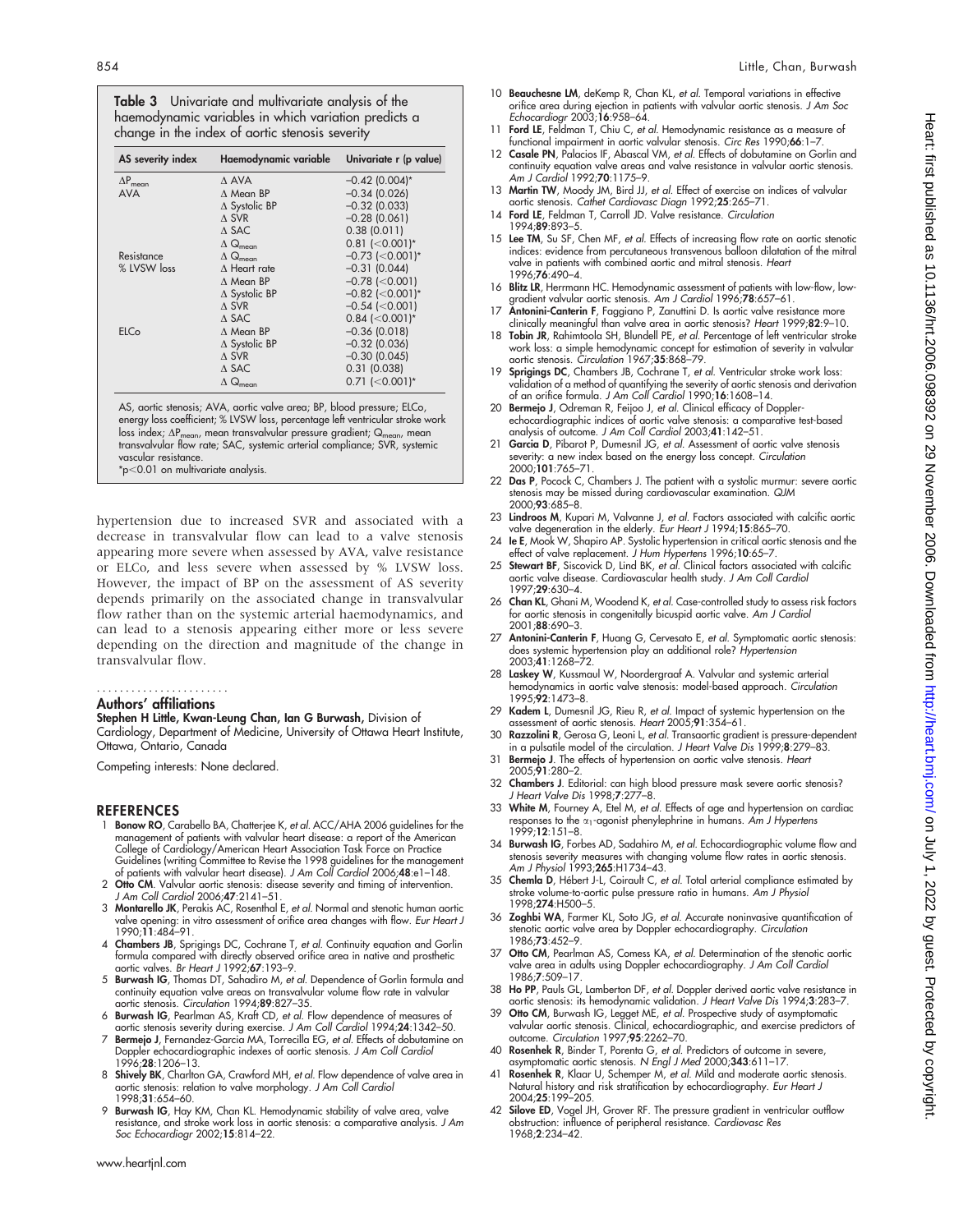Table 3 Univariate and multivariate analysis of the haemodynamic variables in which variation predicts a change in the index of aortic stenosis severity

| AS severity index | Haemodynamic variable      | Univariate r (p value) |
|-------------------|----------------------------|------------------------|
| $\Delta P_{mean}$ | A AVA                      | $-0.42$ (0.004)*       |
| <b>AVA</b>        | $\Lambda$ Mean BP          | $-0.34(0.026)$         |
|                   | $\Delta$ Systolic BP       | $-0.32$ (0.033)        |
|                   | $\Lambda$ SVR              | $-0.28(0.061)$         |
|                   | $\land$ SAC                | 0.38(0.011)            |
|                   | $\Delta$ Q <sub>mean</sub> | $0.81$ (<0.001)*       |
| Resistance        | $\Delta$ Q <sub>mean</sub> | $-0.73$ ( $<$ 0.001)*  |
| % LVSW loss       | $\Lambda$ Heart rate       | $-0.31(0.044)$         |
|                   | $\triangle$ Mean BP        | $-0.78$ (< $0.001$ )   |
|                   | $\Delta$ Systolic BP       | $-0.82$ (<0.001)*      |
|                   | $\Lambda$ SVR              | $-0.54$ ( $<$ 0.001)   |
|                   | A SAC                      | $0.84$ (<0.001)*       |
| <b>ELCo</b>       | $\Lambda$ Mean BP          | $-0.36(0.018)$         |
|                   | $\Delta$ Systolic BP       | $-0.32$ (0.036)        |
|                   | $\Lambda$ SVR              | $-0.30(0.045)$         |
|                   | $\triangle$ SAC            | 0.31(0.038)            |
|                   | $\Delta$ Q <sub>mean</sub> | $0.71$ (<0.001)*       |

energy loss coefficient; % LVSW loss, percentage left ventricular stroke work  $\log$ index;  $\Delta P_{mean}$ , mean transvalvular pressure gradient;  $Q_{mean}$ , mean transvalvular flow rate; SAC, systemic arterial compliance; SVR, systemic vascular resistance.

\*p<0.01 on multivariate analysis.

hypertension due to increased SVR and associated with a decrease in transvalvular flow can lead to a valve stenosis appearing more severe when assessed by AVA, valve resistance or ELCo, and less severe when assessed by % LVSW loss. However, the impact of BP on the assessment of AS severity depends primarily on the associated change in transvalvular flow rather than on the systemic arterial haemodynamics, and can lead to a stenosis appearing either more or less severe depending on the direction and magnitude of the change in transvalvular flow.

#### Authors' affiliations .......................

Stephen H Little, Kwan-Leung Chan, Ian G Burwash, Division of

Cardiology, Department of Medicine, University of Ottawa Heart Institute, Ottawa, Ontario, Canada

Competing interests: None declared.

#### REFERENCES

- 1 Bonow RO, Carabello BA, Chatterjee K, et al. ACC/AHA 2006 guidelines for the management of patients with valvular heart disease: a report of the American College of Cardiology/American Heart Association Task Force on Practice Guidelines (writing Committee to Revise the 1998 guidelines for the management of patients with valvular heart disease). J Am Coll Cardiol 2006;48:e1–148.
- 2 Otto CM. Valvular aortic stenosis: disease severity and timing of intervention. J Am Coll Cardiol 2006;47:2141–51.
- 3 Montarello JK, Perakis AC, Rosenthal E, et al. Normal and stenotic human aortic valve opening: in vitro assessment of orifice area changes with flow. Eur Heart J 1990;11:484–91.
- Chambers JB, Sprigings DC, Cochrane T, et al. Continuity equation and Gorlin formula compared with directly observed orifice area in native and prosthetic aortic valves. Br Heart J 1992;67:193–9.
- 5 Burwash IG, Thomas DT, Sahadiro M, et al. Dependence of Gorlin formula and continuity equation valve areas on transvalvular volume flow rate in valvular aortic stenosis. *Circulation* 1994;8**9**:827–35.<br>6 **Burwash IG**, Pearlman AS, Kraft CD, *et al.* Flow dependence of measures of
- aortic stenosis severity during exercise. *J Am Coll Cardiol* 1994;**24**:1342–50.<br>7 **Bermejo J**, Fernandez-Garcia MA, Torrecilla EG, *et al.* Effects of dobutamine on
- Doppler echocardiographic indexes of aortic stenosis. J Am Coll Cardiol 1996;28:1206–13.
- 8 Shively BK, Charlton GA, Crawford MH, et al. Flow dependence of valve area in aortic stenosis: relation to valve morphology. J Am Coll Cardiol 1998;31:654–60.
- 9 Burwash IG, Hay KM, Chan KL. Hemodynamic stability of valve area, valve resistance, and stroke work loss in aortic stenosis: a comparative analysis. J Am Soc Echocardiogr 2002;15:814–22.
- 10 Beauchesne LM, deKemp R, Chan KL, et al. Temporal variations in effective orifice area during ejection in patients with valvular aortic stenosis. J Am Soc
- Echocardiogr 2003;16:958–64. 11 Ford LE, Feldman T, Chiu C, et al. Hemodynamic resistance as a measure of functional impairment in aortic valvular stenosis. Circ Res 1990;66:1–7.
- 12 Casale PN, Palacios IF, Abascal VM, et al. Effects of dobutamine on Gorlin and continuity equation valve areas and valve resistance in valvular aortic stenosis. Am J Cardiol 1992;70:1175-9.
- 13 Martin TW, Moody JM, Bird JJ, et al. Effect of exercise on indices of valvular aortic stenosis. Cathet Cardiovasc Diagn 1992;25:265–71.
- 14 Ford LE, Feldman T, Carroll JD. Valve resistance. Circulation 1994;89:893–5.
- 15 Lee TM, Su SF, Chen MF, et al. Effects of increasing flow rate on aortic stenotic indices: evidence from percutaneous transvenous balloon dilatation of the mitral valve in patients with combined aortic and mitral stenosis. Heart 1996;76:490–4.
- 16 Blitz LR, Herrmann HC. Hemodynamic assessment of patients with low-flow, lowgradient valvular aortic stenosis. Am J Cardiol 1996;78:657–61.
- 17 Antonini-Canterin F, Faggiano P, Zanuttini D. Is aortic valve resistance more clinically meaningful than valve area in aortic stenosis? Heart 1999;82:9–10.
- 18 Tobin JR, Rahimtoola SH, Blundell PE, et al. Percentage of left ventricular stroke work loss: a simple hemodynamic concept for estimation of severity in valvular aortic stenosis. Circulation 1967;35:868–79.
- 19 Sprigings DC, Chambers JB, Cochrane T, et al. Ventricular stroke work loss: validation of a method of quantifying the severity of aortic stenosis and derivation of an orifice formula. J Am Coll Cardiol 1990;16:1608–14.
- 20 Bermejo J, Odreman R, Feijoo J, et al. Clinical efficacy of Doppler-echocardiographic indices of aortic valve stenosis: a comparative test-based analysis of outcome. J Am Coll Cardiol 2003;41:142–51.
- 21 Garcia D, Pibarot P, Dumesnil JG, et al. Assessment of aortic valve stenosis severity: a new index based on the energy loss concept. Circulation 2000;101:765–71.
- 22 Das P, Pocock C, Chambers J. The patient with a systolic murmur: severe aortic stenosis may be missed during cardiovascular examination. QJM 2000;93:685–8.
- 23 Lindroos M, Kupari M, Valvanne J, et al. Factors associated with calcific aortic valve degeneration in the elderly. Eur Heart J 1994;15:865-70.
- 24 Ie E, Mook W, Shapiro AP. Systolic hypertension in critical aortic stenosis and the effect of valve replacement. J Hum Hypertens 1996;10:65-7.
- 25 Stewart BF, Siscovick D, Lind BK, et al. Clinical factors associated with calcific aortic valve disease. Cardiovascular health study. J Am Coll Cardiol 1997;29:630–4.
- 26 Chan KL, Ghani M, Woodend K, et al. Case-controlled study to assess risk factors for aortic stenosis in congenitally bicuspid aortic valve. Am J Cardiol 2001;88:690–3.
- 27 Antonini-Canterin F, Huang G, Cervesato E, et al. Symptomatic aortic stenosis: does systemic hypertension play an additional role? Hypertension 2003;41:1268–72.
- 28 Laskey W, Kussmaul W, Noordergraaf A. Valvular and systemic arterial hemodynamics in aortic valve stenosis: model-based approach. Circulation 1995;92:1473–8.
- 29 Kadem L, Dumesnil JG, Rieu R, et al. Impact of systemic hypertension on the assessment of aortic stenosis. Heart 2005;91:354–61.
- 30 Razzolini R, Gerosa G, Leoni L, et al. Transaortic gradient is pressure-dependent in a pulsatile model of the circulation. J Heart Valve Dis 1999;8:279–83.
- 31 Bermejo J. The effects of hypertension on aortic valve stenosis. Heart 2005;91:280–2.
- 32 Chambers J. Editorial: can high blood pressure mask severe aortic stenosis? J Heart Valve Dis 1998;7:277–8.
- 33 White M, Fourney A, Etel M, et al. Effects of age and hypertension on cardiac responses to the  $\alpha_1$ -agonist phenylephrine in humans. Am J Hypertens  $1999 \cdot 12 \cdot 151 - 8$
- 34 Burwash IG, Forbes AD, Sadahiro M, et al. Echocardiographic volume flow and stenosis severity measures with changing volume tlow rates in aortic stenosis.<br>Am J Physiol 1993;**265**:H1734–43.
- 35 Chemla D, Hébert J-L, Coirault C, et al. Total arterial compliance estimated by stroke volume-to-aortic pulse pressure ratio in humans. Am J Physiol 1998;274:H500–5.
- 36 Zoghbi WA, Farmer KL, Soto JG, et al. Accurate noninvasive quantification of stenotic aortic valve area by Doppler echocardiography. Circulation 1986;73:452–9.
- 37 Otto CM, Pearlman AS, Comess KA, et al. Determination of the stenotic aortic valve area in adults using Doppler echocardiography. J Am Coll Cardiol 1986;7:509–17.
- 38 Ho PP, Pauls GL, Lamberton DF, et al. Doppler derived aortic valve resistance in aortic stenosis: its hemodynamic validation. J Heart Valve Dis 1994;3:283–7.
- 39 Otto CM, Burwash IG, Legget ME, et al. Prospective study of asymptomatic valvular aortic stenosis. Clinical, echocardiographic, and exercise predictors of outcome. Circulation 1997;95:2262–70.
- 40 Rosenhek R, Binder T, Porenta G, et al. Predictors of outcome in severe, asymptomatic aortic stenosis. N Engl J Med 2000;343:611–17.
- 41 Rosenhek R, Klaar U, Schemper M, et al. Mild and moderate aortic stenosis. Natural history and risk stratification by echocardiography. Eur Heart J 2004;25:199–205.
- 42 Silove ED, Vogel JH, Grover RF. The pressure gradient in ventricular outflow obstruction: influence of peripheral resistance. Cardiovasc Res 1968;2:234–42.

www.heartjnl.com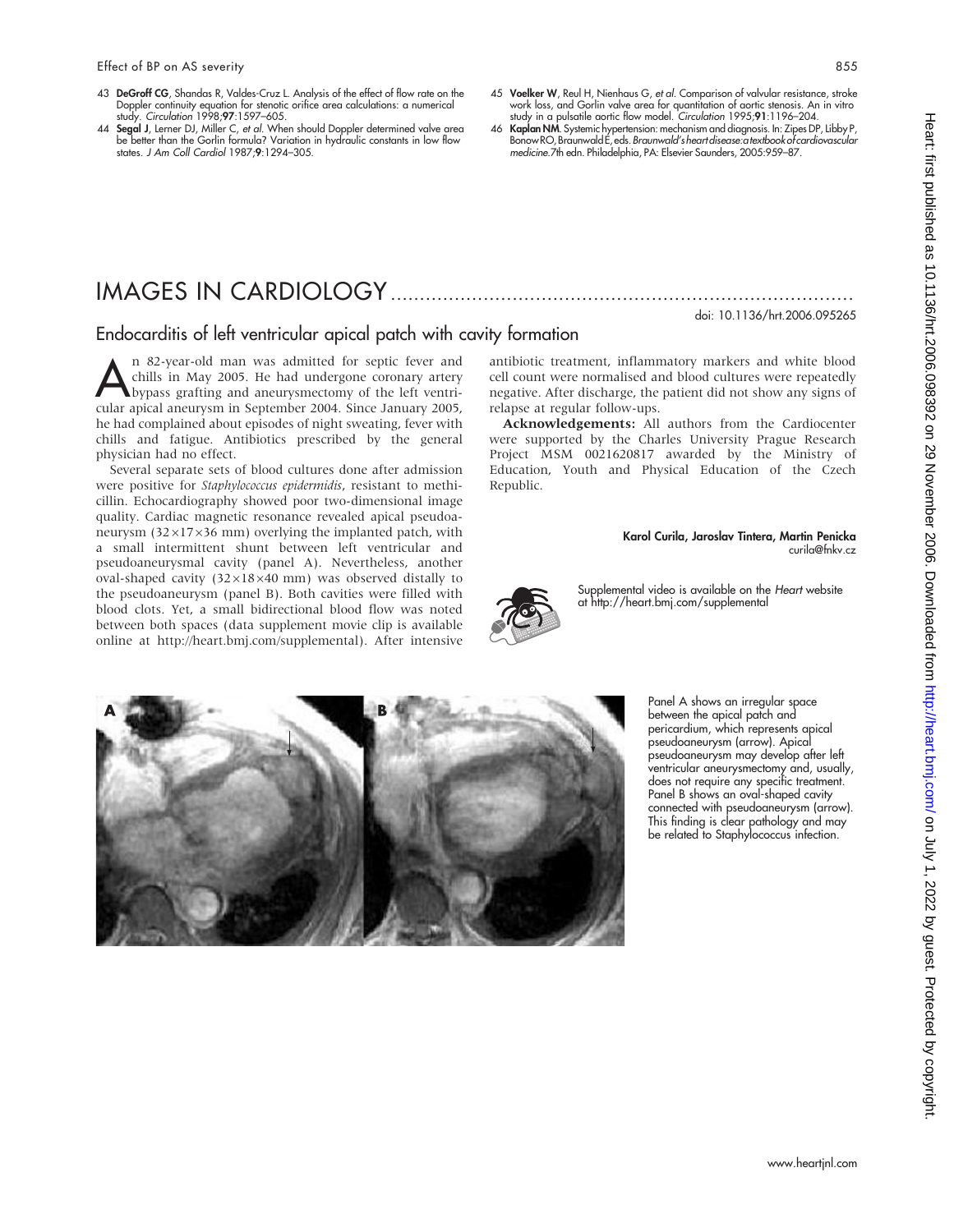- 43 DeGroff CG, Shandas R, Valdes-Cruz L. Analysis of the effect of flow rate on the Doppler continuity equation for stenotic orifice area calculations: a numerical study. Circulation 1998;97:1597–605.
- 44 Segal J, Lerner DJ, Miller C, et al. When should Doppler determined valve area be better than the Gorlin formula? Variation in hydraulic constants in low flow states. J Am Coll Cardiol 1987;9:1294–305.
- 45 Voelker W, Reul H, Nienhaus G, et al. Comparison of valvular resistance, stroke work loss, and Gorlin valve area for quantitation of aortic stenosis. An in vitro
- study in a pulsatile aortic flow model. *Circulation* 1995;**91**:1196–204.<br>46 **Kaplan NM**. Systemic hypertension: mechanism and diagnosis. In: Zipes DP, Libby P, BonowRO,BraunwaldE,eds.Braunwald'sheartdisease:atextbookofcardiovascular medicine.7th edn. Philadelphia, PA: Elsevier Saunders, 2005:959–87.

# IMAGES IN CARDIOLOGY ................................................................................

doi: 10.1136/hrt.2006.095265

## Endocarditis of left ventricular apical patch with cavity formation

An 82-year-old man was admitted for septic fever and<br>
bypass grafting and aneurysmectomy of the left ventri-<br>
cular anical aneurysm in September 2004, Since January 2005 chills in May 2005. He had undergone coronary artery cular apical aneurysm in September 2004. Since January 2005, he had complained about episodes of night sweating, fever with chills and fatigue. Antibiotics prescribed by the general physician had no effect.

Several separate sets of blood cultures done after admission were positive for Staphylococcus epidermidis, resistant to methicillin. Echocardiography showed poor two-dimensional image quality. Cardiac magnetic resonance revealed apical pseudoaneurysm  $(32\times17\times36$  mm) overlying the implanted patch, with a small intermittent shunt between left ventricular and pseudoaneurysmal cavity (panel A). Nevertheless, another oval-shaped cavity  $(32\times18\times40$  mm) was observed distally to the pseudoaneurysm (panel B). Both cavities were filled with blood clots. Yet, a small bidirectional blood flow was noted between both spaces (data supplement movie clip is available online at http://heart.bmj.com/supplemental). After intensive

antibiotic treatment, inflammatory markers and white blood cell count were normalised and blood cultures were repeatedly negative. After discharge, the patient did not show any signs of relapse at regular follow-ups.

Acknowledgements: All authors from the Cardiocenter were supported by the Charles University Prague Research Project MSM 0021620817 awarded by the Ministry of Education, Youth and Physical Education of the Czech Republic.

> Karol Curila, Jaroslav Tintera, Martin Penicka curila@fnkv.cz



Supplemental video is available on the Heart website at http://heart.bmj.com/supplemental



Panel A shows an irregular space between the apical patch and pericardium, which represents apical pseudoaneurysm (arrow). Apical pseudoaneurysm may develop after left ventricular aneurysmectomy and, usually, does not require any specific treatment. Panel B shows an oval-shaped cavity connected with pseudoaneurysm (arrow). This finding is clear pathology and may be related to Staphylococcus infection.